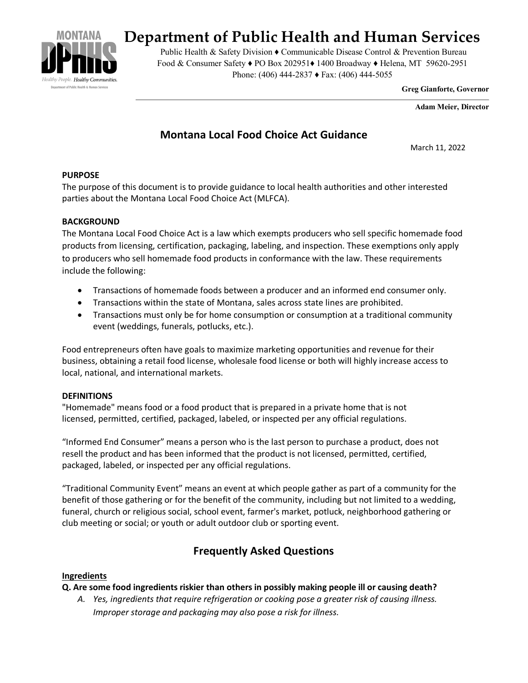

# **Department of Public Health and Human Services**

Public Health & Safety Division ♦ Communicable Disease Control & Prevention Bureau Food & Consumer Safety ♦ PO Box 202951♦ 1400 Broadway ♦ Helena, MT 59620-2951 Phone: (406) 444-2837 ♦ Fax: (406) 444-5055

**Greg Gianforte, Governor** 

 **Adam Meier, Director**

# **Montana Local Food Choice Act Guidance**

March 11, 2022

# **PURPOSE**

The purpose of this document is to provide guidance to local health authorities and other interested parties about the Montana Local Food Choice Act (MLFCA).

#### **BACKGROUND**

The Montana Local Food Choice Act is a law which exempts producers who sell specific homemade food products from licensing, certification, packaging, labeling, and inspection. These exemptions only apply to producers who sell homemade food products in conformance with the law. These requirements include the following:

- Transactions of homemade foods between a producer and an informed end consumer only.
- Transactions within the state of Montana, sales across state lines are prohibited.
- Transactions must only be for home consumption or consumption at a traditional community event (weddings, funerals, potlucks, etc.).

Food entrepreneurs often have goals to maximize marketing opportunities and revenue for their business, obtaining a retail food license, wholesale food license or both will highly increase access to local, national, and international markets.

#### **DEFINITIONS**

"Homemade" means food or a food product that is prepared in a private home that is not licensed, permitted, certified, packaged, labeled, or inspected per any official regulations.

"Informed End Consumer" means a person who is the last person to purchase a product, does not resell the product and has been informed that the product is not licensed, permitted, certified, packaged, labeled, or inspected per any official regulations.

"Traditional Community Event" means an event at which people gather as part of a community for the benefit of those gathering or for the benefit of the community, including but not limited to a wedding, funeral, church or religious social, school event, farmer's market, potluck, neighborhood gathering or club meeting or social; or youth or adult outdoor club or sporting event.

# **Frequently Asked Questions**

# **Ingredients**

#### **Q. Are some food ingredients riskier than others in possibly making people ill or causing death?**

*A. Yes, ingredients that require refrigeration or cooking pose a greater risk of causing illness. Improper storage and packaging may also pose a risk for illness.*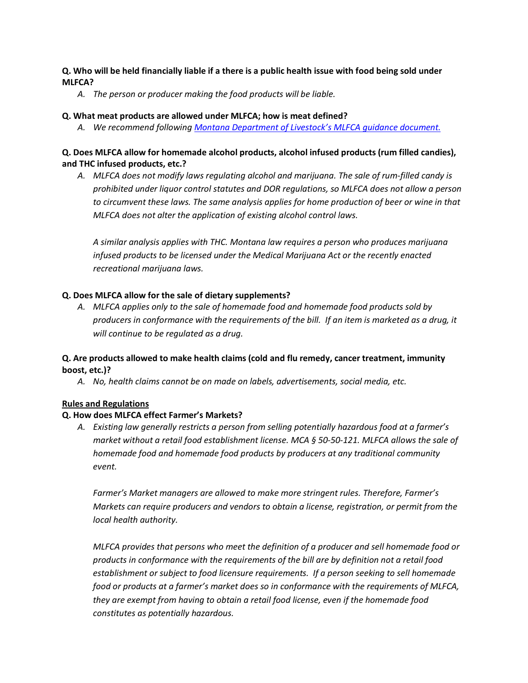## **Q. Who will be held financially liable if a there is a public health issue with food being sold under MLFCA?**

*A. The person or producer making the food products will be liable.*

#### **Q. What meat products are allowed under MLFCA; how is meat defined?**

*A. We recommend following [Montana Department of Livestock's MLFCA guidance document.](https://liv.mt.gov/_docs/MI/SB199-Guidance-Document.pdf)*

## **Q. Does MLFCA allow for homemade alcohol products, alcohol infused products (rum filled candies), and THC infused products, etc.?**

*A. MLFCA does not modify laws regulating alcohol and marijuana. The sale of rum-filled candy is prohibited under liquor control statutes and DOR regulations, so MLFCA does not allow a person to circumvent these laws. The same analysis applies for home production of beer or wine in that MLFCA does not alter the application of existing alcohol control laws.*

*A similar analysis applies with THC. Montana law requires a person who produces marijuana infused products to be licensed under the Medical Marijuana Act or the recently enacted recreational marijuana laws.*

# **Q. Does MLFCA allow for the sale of dietary supplements?**

*A. MLFCA applies only to the sale of homemade food and homemade food products sold by producers in conformance with the requirements of the bill. If an item is marketed as a drug, it will continue to be regulated as a drug.* 

# **Q. Are products allowed to make health claims (cold and flu remedy, cancer treatment, immunity boost, etc.)?**

*A. No, health claims cannot be on made on labels, advertisements, social media, etc.* 

# **Rules and Regulations**

# **Q. How does MLFCA effect Farmer's Markets?**

*A. Existing law generally restricts a person from selling potentially hazardous food at a farmer's market without a retail food establishment license. MCA § 50-50-121. MLFCA allows the sale of homemade food and homemade food products by producers at any traditional community event.*

*Farmer's Market managers are allowed to make more stringent rules. Therefore, Farmer's Markets can require producers and vendors to obtain a license, registration, or permit from the local health authority.*

*MLFCA provides that persons who meet the definition of a producer and sell homemade food or products in conformance with the requirements of the bill are by definition not a retail food establishment or subject to food licensure requirements. If a person seeking to sell homemade food or products at a farmer's market does so in conformance with the requirements of MLFCA, they are exempt from having to obtain a retail food license, even if the homemade food constitutes as potentially hazardous.*